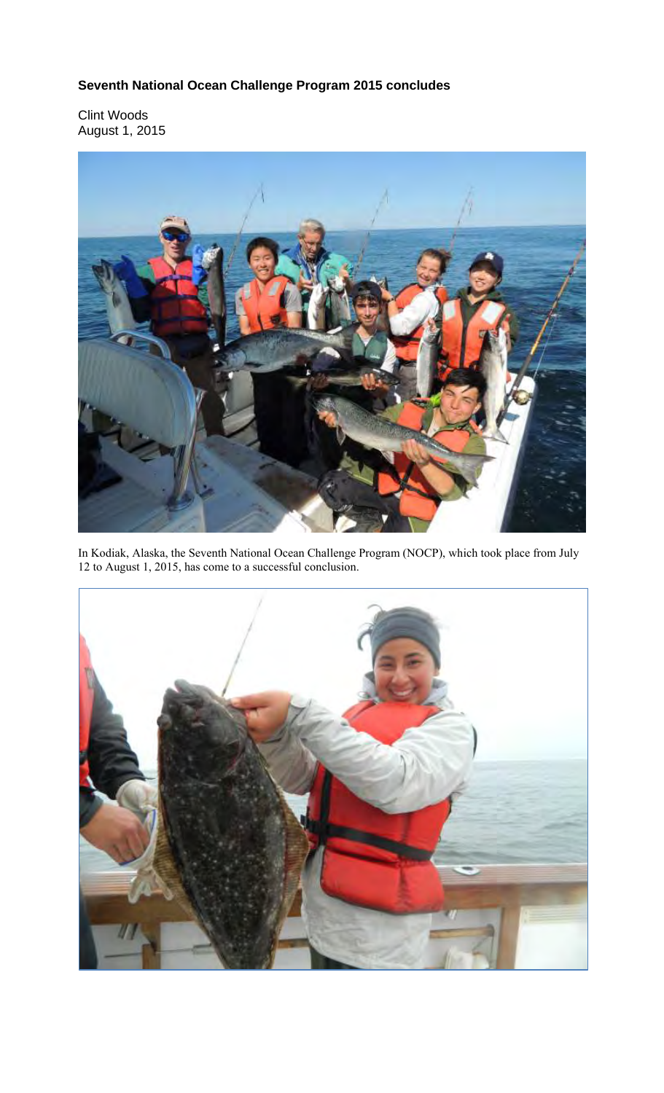## **Seventh National Ocean Challenge Program 2015 concludes**

Clint Woods August 1, 2015



In Kodiak, Alaska, the Seventh National Ocean Challenge Program (NOCP), which took place from July 12 to August 1, 2015, has come to a successful conclusion.

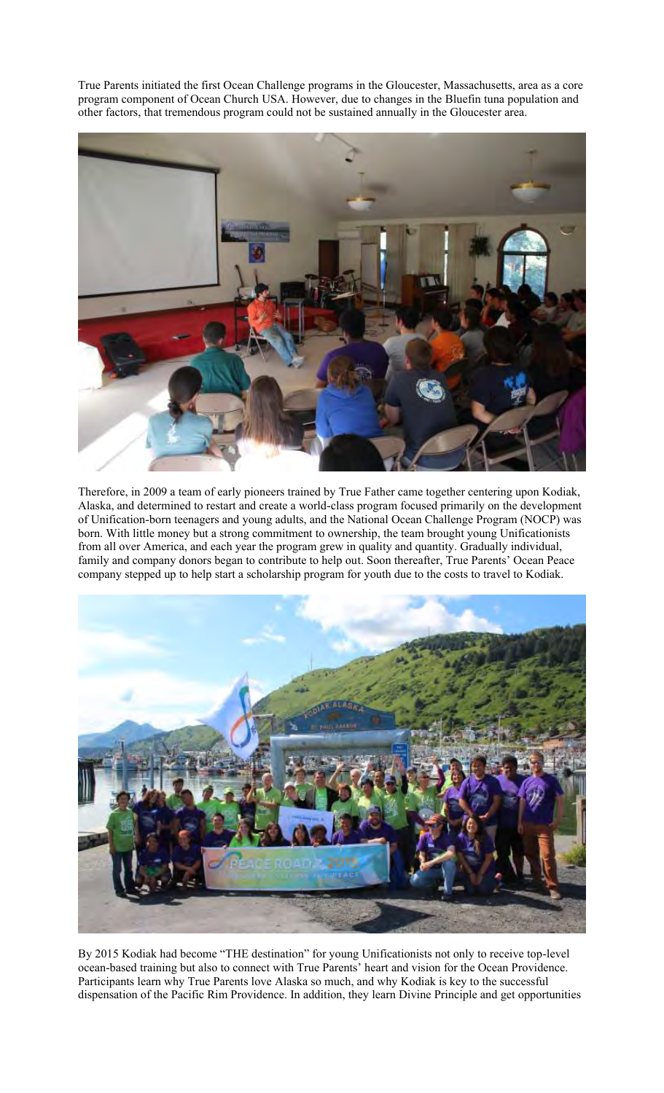True Parents initiated the first Ocean Challenge programs in the Gloucester, Massachusetts, area as a core program component of Ocean Church USA. However, due to changes in the Bluefin tuna population and other factors, that tremendous program could not be sustained annually in the Gloucester area.



Therefore, in 2009 a team of early pioneers trained by True Father came together centering upon Kodiak, Alaska, and determined to restart and create a world-class program focused primarily on the development of Unification-born teenagers and young adults, and the National Ocean Challenge Program (NOCP) was born. With little money but a strong commitment to ownership, the team brought young Unificationists from all over America, and each year the program grew in quality and quantity. Gradually individual, family and company donors began to contribute to help out. Soon thereafter, True Parents' Ocean Peace company stepped up to help start a scholarship program for youth due to the costs to travel to Kodiak.



By 2015 Kodiak had become "THE destination" for young Unificationists not only to receive top-level ocean-based training but also to connect with True Parents' heart and vision for the Ocean Providence. Participants learn why True Parents love Alaska so much, and why Kodiak is key to the successful dispensation of the Pacific Rim Providence. In addition, they learn Divine Principle and get opportunities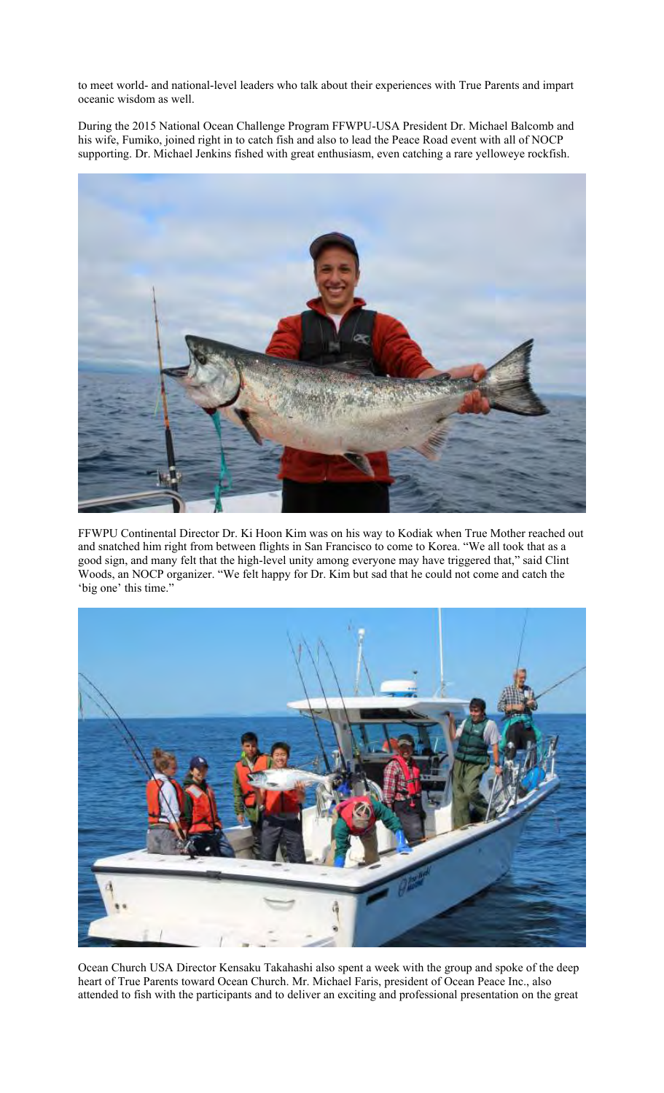to meet world- and national-level leaders who talk about their experiences with True Parents and impart oceanic wisdom as well.

During the 2015 National Ocean Challenge Program FFWPU-USA President Dr. Michael Balcomb and his wife, Fumiko, joined right in to catch fish and also to lead the Peace Road event with all of NOCP supporting. Dr. Michael Jenkins fished with great enthusiasm, even catching a rare yelloweye rockfish.



FFWPU Continental Director Dr. Ki Hoon Kim was on his way to Kodiak when True Mother reached out and snatched him right from between flights in San Francisco to come to Korea. "We all took that as a good sign, and many felt that the high-level unity among everyone may have triggered that," said Clint Woods, an NOCP organizer. "We felt happy for Dr. Kim but sad that he could not come and catch the 'big one' this time."



Ocean Church USA Director Kensaku Takahashi also spent a week with the group and spoke of the deep heart of True Parents toward Ocean Church. Mr. Michael Faris, president of Ocean Peace Inc., also attended to fish with the participants and to deliver an exciting and professional presentation on the great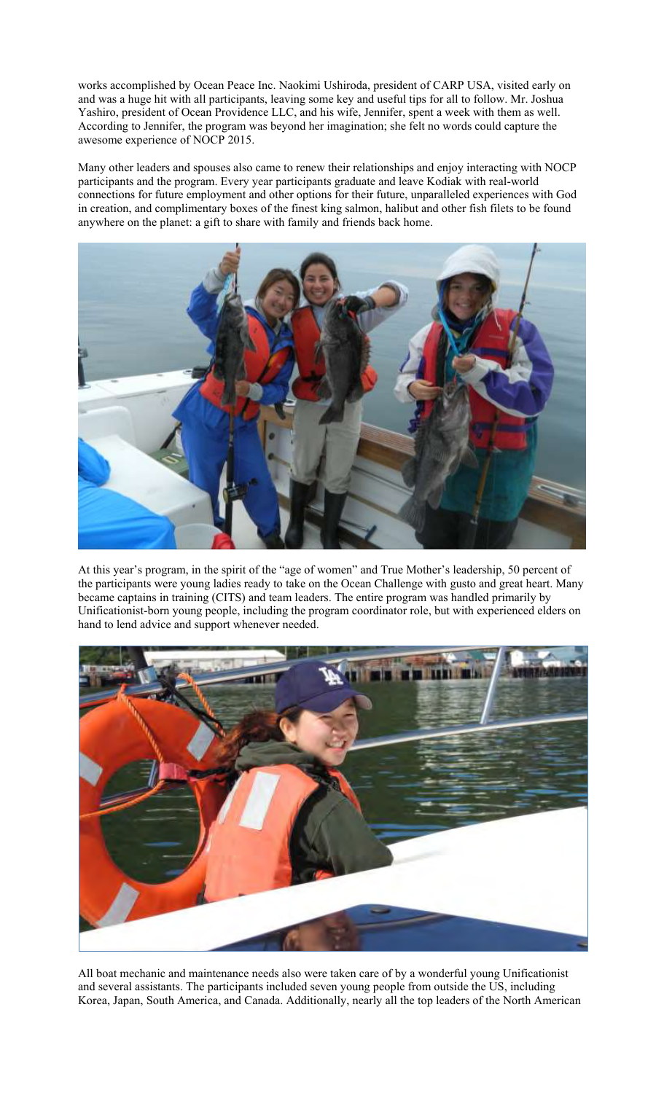works accomplished by Ocean Peace Inc. Naokimi Ushiroda, president of CARP USA, visited early on and was a huge hit with all participants, leaving some key and useful tips for all to follow. Mr. Joshua Yashiro, president of Ocean Providence LLC, and his wife, Jennifer, spent a week with them as well. According to Jennifer, the program was beyond her imagination; she felt no words could capture the awesome experience of NOCP 2015.

Many other leaders and spouses also came to renew their relationships and enjoy interacting with NOCP participants and the program. Every year participants graduate and leave Kodiak with real-world connections for future employment and other options for their future, unparalleled experiences with God in creation, and complimentary boxes of the finest king salmon, halibut and other fish filets to be found anywhere on the planet: a gift to share with family and friends back home.



At this year's program, in the spirit of the "age of women" and True Mother's leadership, 50 percent of the participants were young ladies ready to take on the Ocean Challenge with gusto and great heart. Many became captains in training (CITS) and team leaders. The entire program was handled primarily by Unificationist-born young people, including the program coordinator role, but with experienced elders on hand to lend advice and support whenever needed.



All boat mechanic and maintenance needs also were taken care of by a wonderful young Unificationist and several assistants. The participants included seven young people from outside the US, including Korea, Japan, South America, and Canada. Additionally, nearly all the top leaders of the North American